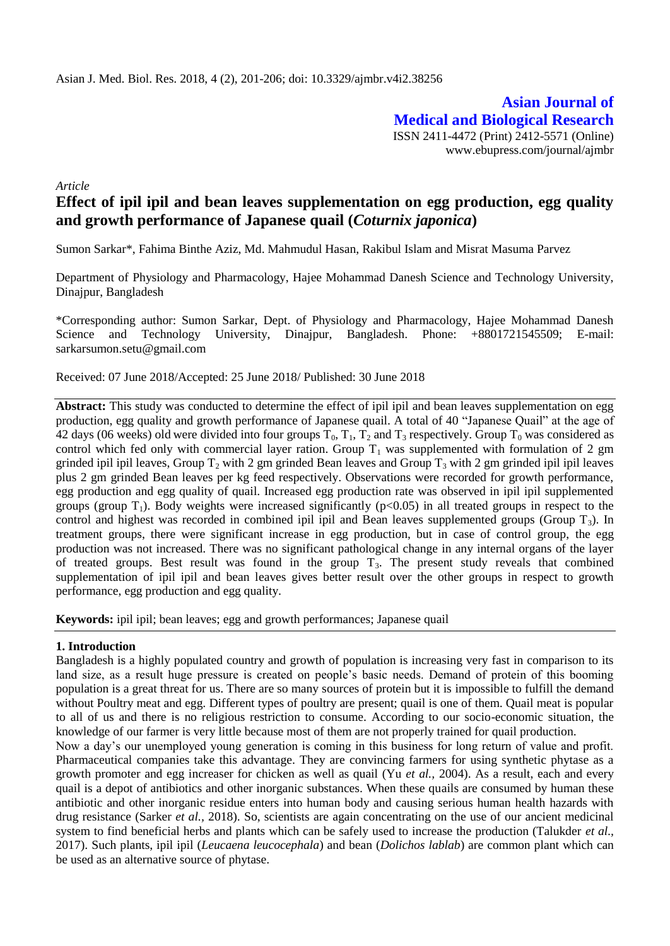**Asian Journal of Medical and Biological Research** ISSN 2411-4472 (Print) 2412-5571 (Online) www.ebupress.com/journal/ajmbr

*Article*

# **Effect of ipil ipil and bean leaves supplementation on egg production, egg quality and growth performance of Japanese quail (***Coturnix japonica***)**

Sumon Sarkar\*, Fahima Binthe Aziz, Md. Mahmudul Hasan, Rakibul Islam and Misrat Masuma Parvez

Department of Physiology and Pharmacology, Hajee Mohammad Danesh Science and Technology University, Dinajpur, Bangladesh

\*Corresponding author: Sumon Sarkar, Dept. of Physiology and Pharmacology, Hajee Mohammad Danesh Science and Technology University, Dinajpur, Bangladesh. Phone: +8801721545509; E-mail: sarkarsumon.setu@gmail.com

Received: 07 June 2018/Accepted: 25 June 2018/ Published: 30 June 2018

**Abstract:** This study was conducted to determine the effect of ipil ipil and bean leaves supplementation on egg production, egg quality and growth performance of Japanese quail. A total of 40 "Japanese Quail" at the age of 42 days (06 weeks) old were divided into four groups  $T_0$ ,  $T_1$ ,  $T_2$  and  $T_3$  respectively. Group  $T_0$  was considered as control which fed only with commercial layer ration. Group  $T_1$  was supplemented with formulation of 2 gm grinded ipil ipil leaves, Group  $T_2$  with 2 gm grinded Bean leaves and Group  $T_3$  with 2 gm grinded ipil ipil leaves plus 2 gm grinded Bean leaves per kg feed respectively. Observations were recorded for growth performance, egg production and egg quality of quail. Increased egg production rate was observed in ipil ipil supplemented groups (group  $T_1$ ). Body weights were increased significantly ( $p<0.05$ ) in all treated groups in respect to the control and highest was recorded in combined ipil ipil and Bean leaves supplemented groups (Group  $T_3$ ). In treatment groups, there were significant increase in egg production, but in case of control group, the egg production was not increased. There was no significant pathological change in any internal organs of the layer of treated groups. Best result was found in the group  $T_3$ . The present study reveals that combined supplementation of ipil ipil and bean leaves gives better result over the other groups in respect to growth performance, egg production and egg quality.

**Keywords:** ipil ipil; bean leaves; egg and growth performances; Japanese quail

## **1. Introduction**

Bangladesh is a highly populated country and growth of population is increasing very fast in comparison to its land size, as a result huge pressure is created on people's basic needs. Demand of protein of this booming population is a great threat for us. There are so many sources of protein but it is impossible to fulfill the demand without Poultry meat and egg. Different types of poultry are present; quail is one of them. Quail meat is popular to all of us and there is no religious restriction to consume. According to our socio-economic situation, the knowledge of our farmer is very little because most of them are not properly trained for quail production.

Now a day's our unemployed young generation is coming in this business for long return of value and profit. Pharmaceutical companies take this advantage. They are convincing farmers for using synthetic phytase as a growth promoter and egg increaser for chicken as well as quail (Yu *et al.,* 2004). As a result, each and every quail is a depot of antibiotics and other inorganic substances. When these quails are consumed by human these antibiotic and other inorganic residue enters into human body and causing serious human health hazards with drug resistance (Sarker *et al.,* 2018). So, scientists are again concentrating on the use of our ancient medicinal system to find beneficial herbs and plants which can be safely used to increase the production (Talukder *et al.,* 2017). Such plants, ipil ipil (*Leucaena leucocephala*) and bean (*Dolichos lablab*) are common plant which can be used as an alternative source of phytase.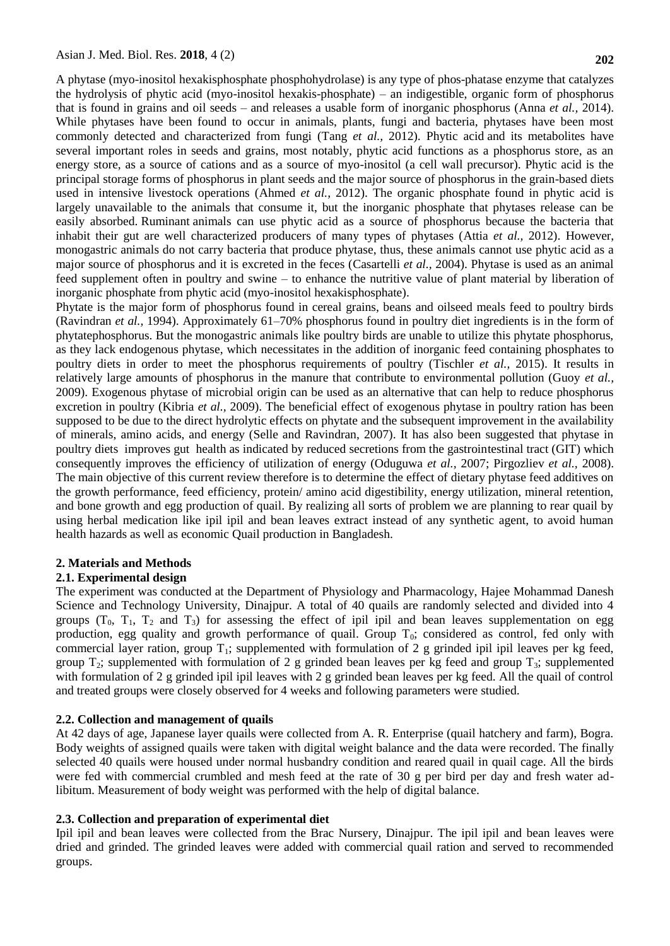A phytase (myo-inositol hexakisphosphate phosphohydrolase) is any type of phos-phatase enzyme that catalyzes the hydrolysis of phytic acid (myo-inositol hexakis-phosphate) – an indigestible, organic form of phosphorus that is found in grains and oil seeds – and releases a usable form of inorganic phosphorus (Anna *et al.,* 2014). While phytases have been found to occur in animals, plants, fungi and bacteria, phytases have been most commonly detected and characterized from fungi (Tang *et al.,* 2012). [Phytic acid](https://en.wikipedia.org/wiki/Phytic_acid) and its metabolites have several important roles in seeds and grains, most notably, phytic acid functions as a phosphorus store, as an energy store, as a source of cations and as a source of myo-inositol (a cell wall precursor). Phytic acid is the principal storage forms of phosphorus in plant seeds and the major source of phosphorus in the grain-based diets used in intensive livestock operations (Ahmed *et al.,* 2012). The organic phosphate found in phytic acid is largely unavailable to the animals that consume it, but the inorganic phosphate that phytases release can be easily absorbed. [Ruminant](https://en.wikipedia.org/wiki/Ruminant) animals can use phytic acid as a source of phosphorus because the bacteria that inhabit their gut are well characterized producers of many types of phytases (Attia *et al.,* 2012). However, monogastric animals do not carry bacteria that produce phytase, thus, these animals cannot use phytic acid as a major source of phosphorus and it is excreted in the feces (Casartelli *et al.,* 2004). Phytase is used as an animal feed supplement often in poultry and swine – to enhance the nutritive value of plant material by liberation of inorganic phosphate from phytic acid (myo-inositol hexakisphosphate).

Phytate is the major form of phosphorus found in cereal grains, beans and oilseed meals feed to poultry birds (Ravindran *et al.,* 1994). Approximately 61–70% phosphorus found in poultry diet ingredients is in the form of phytatephosphorus. But the monogastric animals like poultry birds are unable to utilize this phytate phosphorus, as they lack endogenous phytase, which necessitates in the addition of inorganic feed containing phosphates to poultry diets in order to meet the phosphorus requirements of poultry (Tischler *et al.,* 2015). It results in relatively large amounts of phosphorus in the manure that contribute to environmental pollution (Guoy *et al.,*  2009). Exogenous phytase of microbial origin can be used as an alternative that can help to reduce phosphorus excretion in poultry (Kibria *et al.,* 2009). The beneficial effect of exogenous phytase in poultry ration has been supposed to be due to the direct hydrolytic effects on phytate and the subsequent improvement in the availability of minerals, amino acids, and energy (Selle and Ravindran, 2007). It has also been suggested that phytase in poultry diets improves gut health as indicated by reduced secretions from the gastrointestinal tract (GIT) which consequently improves the efficiency of utilization of energy (Oduguwa *et al.,* 2007; Pirgozliev *et al.,* 2008). The main objective of this current review therefore is to determine the effect of dietary phytase feed additives on the growth performance, feed efficiency, protein/ amino acid digestibility, energy utilization, mineral retention, and bone growth and egg production of quail. By realizing all sorts of problem we are planning to rear quail by using herbal medication like ipil ipil and bean leaves extract instead of any synthetic agent, to avoid human health hazards as well as economic Quail production in Bangladesh.

#### **2. Materials and Methods**

#### **2.1. Experimental design**

The experiment was conducted at the Department of Physiology and Pharmacology, Hajee Mohammad Danesh Science and Technology University, Dinajpur. A total of 40 quails are randomly selected and divided into 4 groups  $(T_0, T_1, T_2, T_3)$  for assessing the effect of ipil ipil and bean leaves supplementation on egg production, egg quality and growth performance of quail. Group  $T_0$ ; considered as control, fed only with commercial layer ration, group  $T_1$ ; supplemented with formulation of 2 g grinded ipil ipil leaves per kg feed, group  $T_2$ ; supplemented with formulation of 2 g grinded bean leaves per kg feed and group  $T_3$ ; supplemented with formulation of 2 g grinded ipil ipil leaves with 2 g grinded bean leaves per kg feed. All the quail of control and treated groups were closely observed for 4 weeks and following parameters were studied.

#### **2.2. Collection and management of quails**

At 42 days of age, Japanese layer quails were collected from A. R. Enterprise (quail hatchery and farm), Bogra. Body weights of assigned quails were taken with digital weight balance and the data were recorded. The finally selected 40 quails were housed under normal husbandry condition and reared quail in quail cage. All the birds were fed with commercial crumbled and mesh feed at the rate of 30 g per bird per day and fresh water adlibitum. Measurement of body weight was performed with the help of digital balance.

## **2.3. Collection and preparation of experimental diet**

Ipil ipil and bean leaves were collected from the Brac Nursery, Dinajpur. The ipil ipil and bean leaves were dried and grinded. The grinded leaves were added with commercial quail ration and served to recommended groups.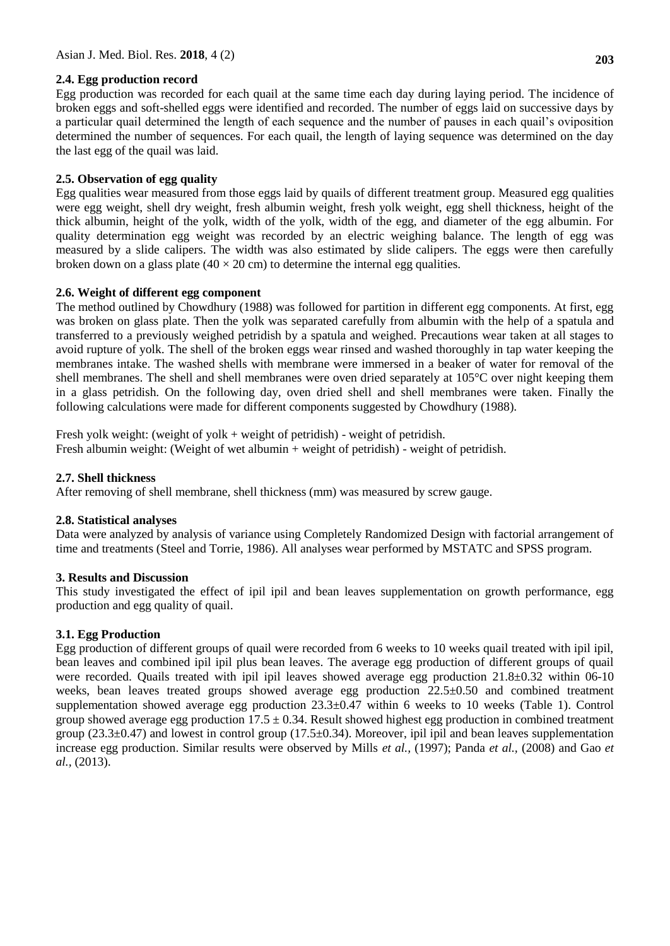# **2.4. Egg production record**

Egg production was recorded for each quail at the same time each day during laying period. The incidence of broken eggs and soft-shelled eggs were identified and recorded. The number of eggs laid on successive days by a particular quail determined the length of each sequence and the number of pauses in each quail's oviposition determined the number of sequences. For each quail, the length of laying sequence was determined on the day the last egg of the quail was laid.

# **2.5. Observation of egg quality**

Egg qualities wear measured from those eggs laid by quails of different treatment group. Measured egg qualities were egg weight, shell dry weight, fresh albumin weight, fresh yolk weight, egg shell thickness, height of the thick albumin, height of the yolk, width of the yolk, width of the egg, and diameter of the egg albumin. For quality determination egg weight was recorded by an electric weighing balance. The length of egg was measured by a slide calipers. The width was also estimated by slide calipers. The eggs were then carefully broken down on a glass plate ( $40 \times 20$  cm) to determine the internal egg qualities.

# **2.6. Weight of different egg component**

The method outlined by Chowdhury (1988) was followed for partition in different egg components. At first, egg was broken on glass plate. Then the yolk was separated carefully from albumin with the help of a spatula and transferred to a previously weighed petridish by a spatula and weighed. Precautions wear taken at all stages to avoid rupture of yolk. The shell of the broken eggs wear rinsed and washed thoroughly in tap water keeping the membranes intake. The washed shells with membrane were immersed in a beaker of water for removal of the shell membranes. The shell and shell membranes were oven dried separately at 105°C over night keeping them in a glass petridish. On the following day, oven dried shell and shell membranes were taken. Finally the following calculations were made for different components suggested by Chowdhury (1988).

Fresh yolk weight: (weight of yolk + weight of petridish) - weight of petridish. Fresh albumin weight: (Weight of wet albumin + weight of petridish) - weight of petridish.

# **2.7. Shell thickness**

After removing of shell membrane, shell thickness (mm) was measured by screw gauge.

## **2.8. Statistical analyses**

Data were analyzed by analysis of variance using Completely Randomized Design with factorial arrangement of time and treatments (Steel and Torrie, 1986). All analyses wear performed by MSTATC and SPSS program.

## **3. Results and Discussion**

This study investigated the effect of ipil ipil and bean leaves supplementation on growth performance, egg production and egg quality of quail.

# **3.1. Egg Production**

Egg production of different groups of quail were recorded from 6 weeks to 10 weeks quail treated with ipil ipil, bean leaves and combined ipil ipil plus bean leaves. The average egg production of different groups of quail were recorded. Quails treated with ipil ipil leaves showed average egg production  $21.8\pm0.32$  within 06-10 weeks, bean leaves treated groups showed average egg production  $22.5\pm0.50$  and combined treatment supplementation showed average egg production 23.3±0.47 within 6 weeks to 10 weeks (Table 1). Control group showed average egg production 17.5  $\pm$  0.34. Result showed highest egg production in combined treatment group ( $23.3\pm0.47$ ) and lowest in control group ( $17.5\pm0.34$ ). Moreover, ipil ipil and bean leaves supplementation increase egg production. Similar results were observed by Mills *et al.,* (1997); Panda *et al.,* (2008) and Gao *et al.,* (2013).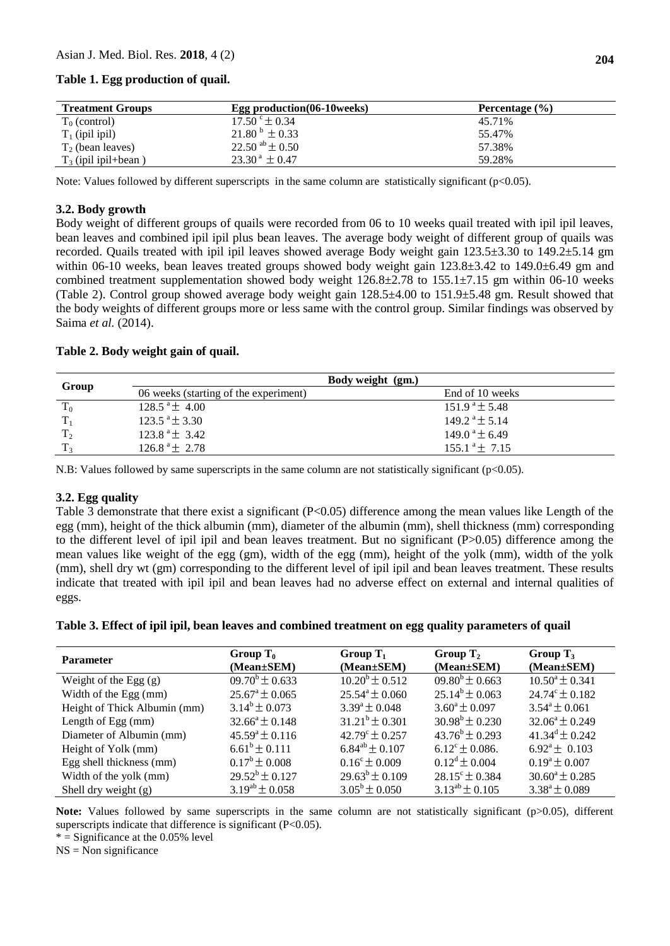## **Table 1. Egg production of quail.**

| <b>Treatment Groups</b> | Egg production (06-10 weeks)   | Percentage $(\% )$ |  |
|-------------------------|--------------------------------|--------------------|--|
| $T_0$ (control)         | $17.50^{\circ}$ + 0.34         | 45.71%             |  |
| $T_1$ (ipil ipil)       | $21.80^{b} \pm 0.33$           | 55.47%             |  |
| $T_2$ (bean leaves)     | 22.50 $\mathrm{^{ab}\pm}$ 0.50 | 57.38%             |  |
| $T_3$ (ipil ipil+bean)  | $23.30^{\text{ a}} \pm 0.47$   | 59.28%             |  |

Note: Values followed by different superscripts in the same column are statistically significant ( $p<0.05$ ).

# **3.2. Body growth**

Body weight of different groups of quails were recorded from 06 to 10 weeks quail treated with ipil ipil leaves, bean leaves and combined ipil ipil plus bean leaves. The average body weight of different group of quails was recorded. Quails treated with ipil ipil leaves showed average Body weight gain 123.5±3.30 to 149.2±5.14 gm within 06-10 weeks, bean leaves treated groups showed body weight gain 123.8±3.42 to 149.0±6.49 gm and combined treatment supplementation showed body weight  $126.8\pm2.78$  to  $155.1\pm7.15$  gm within 06-10 weeks (Table 2). Control group showed average body weight gain 128.5±4.00 to 151.9±5.48 gm. Result showed that the body weights of different groups more or less same with the control group. Similar findings was observed by Saima *et al.* (2014).

## **Table 2. Body weight gain of quail.**

| Group     | Body weight (gm.)                     |                                 |  |
|-----------|---------------------------------------|---------------------------------|--|
|           | 06 weeks (starting of the experiment) | End of 10 weeks                 |  |
| $\rm T_0$ | $128.5^{\text{a}} + 4.00^{\text{c}}$  | $151.9^{\circ} \pm 5.48$        |  |
|           | $123.5^{\circ} \pm 3.30^{\circ}$      | $149.2$ <sup>a</sup> $\pm$ 5.14 |  |
| $T_{2}$   | $123.8^{\text{a}} + 3.42^{\text{c}}$  | $149.0^{\text{a}} + 6.49$       |  |
|           | $126.8^{\text{a}} \pm 2.78$           | $155.1^{\circ} \pm 7.15$        |  |

N.B: Values followed by same superscripts in the same column are not statistically significant (p<0.05).

## **3.2. Egg quality**

Table 3 demonstrate that there exist a significant (P<0.05) difference among the mean values like Length of the egg (mm), height of the thick albumin (mm), diameter of the albumin (mm), shell thickness (mm) corresponding to the different level of ipil ipil and bean leaves treatment. But no significant (P>0.05) difference among the mean values like weight of the egg (gm), width of the egg (mm), height of the yolk (mm), width of the yolk (mm), shell dry wt (gm) corresponding to the different level of ipil ipil and bean leaves treatment. These results indicate that treated with ipil ipil and bean leaves had no adverse effect on external and internal qualities of eggs.

#### **Table 3. Effect of ipil ipil, bean leaves and combined treatment on egg quality parameters of quail**

| <b>Parameter</b>             | Group $T_0$<br>(Mean±SEM) | Group $T_1$<br>$(Mean \pm SEM)$ | Group $T_2$<br>$(Mean \pm SEM)$ | Group $T_3$<br>$(Mean \pm SEM)$ |
|------------------------------|---------------------------|---------------------------------|---------------------------------|---------------------------------|
| Weight of the Egg $(g)$      | $09.70^{\rm b} \pm 0.633$ | $10.20^{\rm b} \pm 0.512$       | $09.80^{b} \pm 0.663$           | $10.50^{\circ} \pm 0.341$       |
| Width of the Egg (mm)        | $25.67^{\circ} \pm 0.065$ | $25.54^{\circ} \pm 0.060$       | $25.14^b \pm 0.063$             | $24.74^{\circ} \pm 0.182$       |
| Height of Thick Albumin (mm) | $3.14^b \pm 0.073$        | $3.39^{\circ} \pm 0.048$        | $3.60^{\circ} \pm 0.097$        | $3.54^{\circ} \pm 0.061$        |
| Length of Egg $(mm)$         | $32.66^{\circ} \pm 0.148$ | $31.21^b \pm 0.301$             | $30.98^b \pm 0.230$             | $32.06^{\circ} \pm 0.249$       |
| Diameter of Albumin (mm)     | $45.59^{\circ} \pm 0.116$ | $42.79^{\circ} \pm 0.257$       | $43.76^{\rm b} \pm 0.293$       | $41.34^{\text{d}} \pm 0.242$    |
| Height of Yolk (mm)          | $6.61^b \pm 0.111$        | $6.84^{ab} \pm 0.107$           | $6.12^{\circ} \pm 0.086$ .      | $6.92^{\mathrm{a}} \pm 0.103$   |
| Egg shell thickness (mm)     | $0.17^b \pm 0.008$        | $0.16^{\circ} \pm 0.009$        | $0.12^d \pm 0.004$              | $0.19^{\circ} \pm 0.007$        |
| Width of the yolk (mm)       | $29.52^b \pm 0.127$       | $29.63^b \pm 0.109$             | $28.15^{\circ} \pm 0.384$       | $30.60^a \pm 0.285$             |
| Shell dry weight $(g)$       | $3.19^{ab} \pm 0.058$     | $3.05^{\rm b} \pm 0.050$        | $3.13^{ab} \pm 0.105$           | $3.38^a \pm 0.089$              |

**Note:** Values followed by same superscripts in the same column are not statistically significant (p>0.05), different superscripts indicate that difference is significant (P<0.05).

 $* =$  Significance at the 0.05% level

 $NS = Non significance$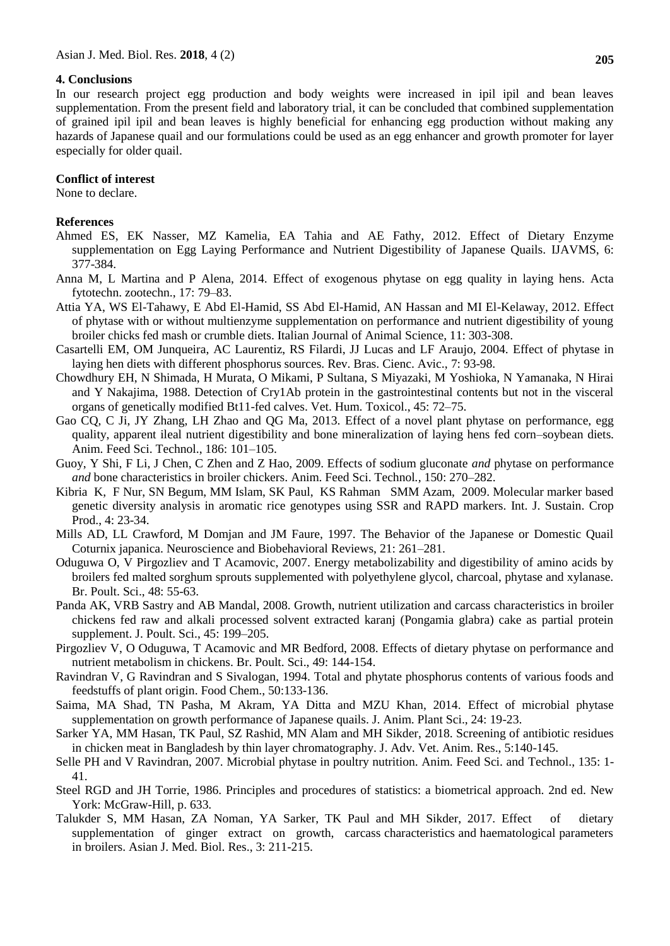## **4. Conclusions**

In our research project egg production and body weights were increased in ipil ipil and bean leaves supplementation. From the present field and laboratory trial, it can be concluded that combined supplementation of grained ipil ipil and bean leaves is highly beneficial for enhancing egg production without making any hazards of Japanese quail and our formulations could be used as an egg enhancer and growth promoter for layer especially for older quail.

#### **Conflict of interest**

None to declare.

## **References**

- Ahmed ES, EK Nasser, MZ Kamelia, EA Tahia and AE Fathy, 2012. Effect of Dietary Enzyme supplementation on Egg Laying Performance and Nutrient Digestibility of Japanese Quails. IJAVMS, 6: 377-384.
- Anna M, L Martina and P Alena, 2014. Effect of exogenous phytase on egg quality in laying hens. Acta fytotechn. zootechn., 17: 79–83.
- Attia YA, WS El-Tahawy, E Abd El-Hamid, SS Abd El-Hamid, AN Hassan and MI El-Kelaway, 2012. Effect of phytase with or without multienzyme supplementation on performance and nutrient digestibility of young broiler chicks fed mash or crumble diets. Italian Journal of Animal Science, 11: 303-308.
- Casartelli EM, OM Junqueira, AC Laurentiz, RS Filardi, JJ Lucas and LF Araujo, 2004. Effect of phytase in laying hen diets with different phosphorus sources. Rev. Bras. Cienc. Avic., 7: 93-98.
- Chowdhury EH, N Shimada, H Murata, O Mikami, P Sultana, S Miyazaki, M Yoshioka, N Yamanaka, N Hirai and Y Nakajima, 1988. Detection of Cry1Ab protein in the gastrointestinal contents but not in the visceral organs of genetically modified Bt11-fed calves. Vet. Hum. Toxicol., 45: 72–75.
- Gao CQ, C Ji, JY Zhang, LH Zhao and QG Ma, 2013. Effect of a novel plant phytase on performance, egg quality, apparent ileal nutrient digestibility and bone mineralization of laying hens fed corn–soybean diets. Anim. Feed Sci. Technol., 186: 101–105.
- Guoy, Y Shi, F Li, J Chen, C Zhen and Z Hao, 2009. Effects of sodium gluconate *and* phytase on performance *and* bone characteristics in broiler chickers. Anim. Feed Sci. Technol*.,* 150: 270–282.
- Kibria K, F Nur, SN Begum, MM Islam, SK Paul, KS Rahman SMM Azam, 2009. Molecular marker based genetic diversity analysis in aromatic rice genotypes using SSR and RAPD markers. Int. J. Sustain. Crop Prod., 4: 23-34.
- Mills AD, LL Crawford, M Domjan and JM Faure, 1997. The Behavior of the Japanese or Domestic Quail Coturnix japanica. Neuroscience and Biobehavioral Reviews, 21: 261–281.
- Oduguwa O, V Pirgozliev and T Acamovic, 2007. Energy metabolizability and digestibility of amino acids by broilers fed malted sorghum sprouts supplemented with polyethylene glycol, charcoal, phytase and xylanase. Br. Poult. Sci., 48: 55-63.
- Panda AK, VRB Sastry and AB Mandal, 2008. Growth, nutrient utilization and carcass characteristics in broiler chickens fed raw and alkali processed solvent extracted karanj (Pongamia glabra) cake as partial protein supplement. J. Poult. Sci., 45: 199–205.
- Pirgozliev V, O Oduguwa, T Acamovic and MR Bedford, 2008. Effects of dietary phytase on performance and nutrient metabolism in chickens. Br. Poult. Sci., 49: 144-154.
- Ravindran V, G Ravindran and S Sivalogan, 1994. Total and phytate phosphorus contents of various foods and feedstuffs of plant origin. Food Chem., 50:133-136.
- Saima, MA Shad, TN Pasha, M Akram, YA Ditta and MZU Khan, 2014. Effect of microbial phytase supplementation on growth performance of Japanese quails. J. Anim. Plant Sci., 24: 19-23.
- Sarker YA, MM Hasan, TK Paul, SZ Rashid, MN Alam and MH Sikder, 2018. Screening of antibiotic residues in chicken meat in Bangladesh by thin layer chromatography. J. Adv. Vet. Anim. Res., 5:140-145.
- Selle PH and V Ravindran, 2007. Microbial phytase in poultry nutrition. Anim. Feed Sci. and Technol., 135: 1- 41.
- Steel RGD and JH Torrie, 1986. Principles and procedures of statistics: a biometrical approach. 2nd ed. New York: McGraw-Hill, p. 633.
- Talukder S, MM Hasan, ZA Noman, YA Sarker, TK Paul and MH Sikder, 2017. Effect of dietary supplementation of ginger extract on growth, carcass characteristics and haematological parameters in broilers. Asian J. Med. Biol. Res., 3: 211-215.